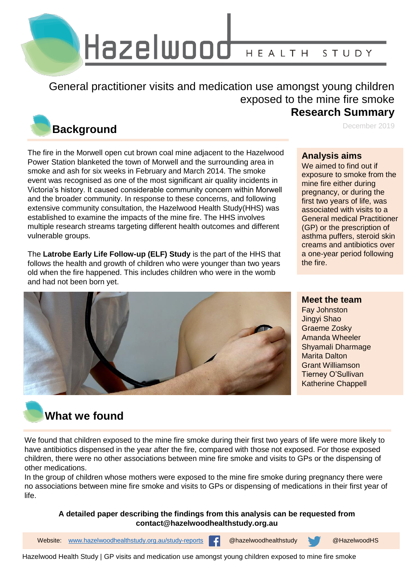

General practitioner visits and medication use amongst young children exposed to the mine fire smoke **Research Summary**

## **Background**

The fire in the Morwell open cut brown coal mine adjacent to the Hazelwood Power Station blanketed the town of Morwell and the surrounding area in smoke and ash for six weeks in February and March 2014. The smoke event was recognised as one of the most significant air quality incidents in Victoria's history. It caused considerable community concern within Morwell and the broader community. In response to these concerns, and following extensive community consultation, the Hazelwood Health Study(HHS) was established to examine the impacts of the mine fire. The HHS involves multiple research streams targeting different health outcomes and different vulnerable groups.

The **Latrobe Early Life Follow-up (ELF) Study** is the part of the HHS that follows the health and growth of children who were younger than two years old when the fire happened. This includes children who were in the womb and had not been born yet.

#### **Analysis aims**

We aimed to find out if exposure to smoke from the mine fire either during pregnancy, or during the first two years of life, was associated with visits to a General medical Practitioner (GP) or the prescription of asthma puffers, steroid skin creams and antibiotics over a one-year period following the fire.

December 2019



#### **Meet the team**

Fay Johnston Jingyi Shao Graeme Zosky Amanda Wheeler Shyamali Dharmage Marita Dalton Grant Williamson Tierney O'Sullivan Katherine Chappell

## **What we found**

We found that children exposed to the mine fire smoke during their first two years of life were more likely to have antibiotics dispensed in the year after the fire, compared with those not exposed. For those exposed children, there were no other associations between mine fire smoke and visits to GPs or the dispensing of other medications.

In the group of children whose mothers were exposed to the mine fire smoke during pregnancy there were no associations between mine fire smoke and visits to GPs or dispensing of medications in their first year of life.

#### **A detailed paper describing the findings from this analysis can be requested from contact@hazelwoodhealthstudy.org.au**

1 Website: [www.hazelwoodhealthstudy.org.au/study-reports](http://www.hazelwoodhealthstudy.org.au/study-reports) @hazelwoodhealthstudy @HazelwoodHS

Hazelwood Health Study | GP visits and medication use amongst young children exposed to mine fire smoke